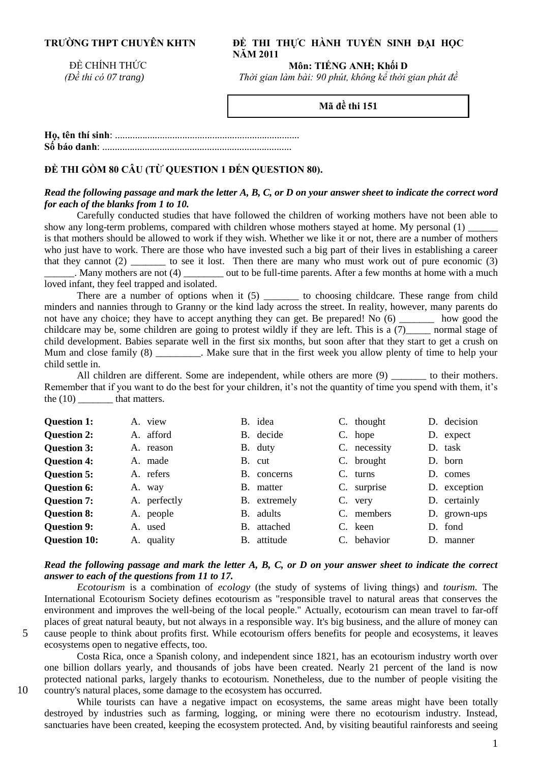# **TRƯỜNG THPT CHUYÊN KHTN**

### **ĐỀ THI THỰC HÀNH TUYỂN SINH ĐẠI HỌC NĂM 2011**

ĐỀ CHÍNH THỨC  *(Đề thi có 07 trang)*

**Môn: TIẾNG ANH; Khối D**

*Thời gian làm bài: 90 phút, không kể thời gian phát đề* 

**Mã đề thi 151**

**Họ, tên thí sinh**: .......................................................................... **Số báo danh**: ............................................................................

## **ĐỀ THI GỒM 80 CÂU (TỪ QUESTION 1 ĐẾN QUESTION 80).**

#### *Read the following passage and mark the letter A, B, C, or D on your answer sheet to indicate the correct word for each of the blanks from 1 to 10.*

Carefully conducted studies that have followed the children of working mothers have not been able to show any long-term problems, compared with children whose mothers stayed at home. My personal (1) \_\_\_\_\_\_ is that mothers should be allowed to work if they wish. Whether we like it or not, there are a number of mothers who just have to work. There are those who have invested such a big part of their lives in establishing a career that they cannot (2) \_\_\_\_\_\_\_ to see it lost. Then there are many who must work out of pure economic (3) out to be full-time parents. After a few months at home with a much loved infant, they feel trapped and isolated.

There are a number of options when it  $(5)$  to choosing childcare. These range from child minders and nannies through to Granny or the kind lady across the street. In reality, however, many parents do not have any choice; they have to accept anything they can get. Be prepared! No (6) \_\_\_\_\_\_\_ how good the childcare may be, some children are going to protest wildly if they are left. This is a (7)\_\_\_\_\_ normal stage of child development. Babies separate well in the first six months, but soon after that they start to get a crush on Mum and close family (8) \_\_\_\_\_\_\_\_. Make sure that in the first week you allow plenty of time to help your child settle in.

All children are different. Some are independent, while others are more  $(9)$  to their mothers. Remember that if you want to do the best for your children, it's not the quantity of time you spend with them, it's the (10) that matters.

| <b>Question 1:</b>  | A. view      | B. idea        | C. thought     | D. decision  |
|---------------------|--------------|----------------|----------------|--------------|
| <b>Question 2:</b>  | A. afford    | B. decide      | C. hope        | D. expect    |
| <b>Question 3:</b>  | A. reason    | B. duty        | C. necessity   | D. task      |
| <b>Question 4:</b>  | A. made      | B. cut         | C. brought     | D. born      |
| <b>Question 5:</b>  | A. refers    | B. concerns    | $C.$ turns     | D. comes     |
| <b>Question 6:</b>  | A. way       | B. matter      | C. surprise    | D. exception |
| <b>Question 7:</b>  | A. perfectly | B. extremely   | C.<br>very     | D. certainly |
| <b>Question 8:</b>  | A. people    | B. adults      | C. members     | D. grown-ups |
| <b>Question 9:</b>  | A. used      | attached<br>В. | C. keen        | D. fond      |
| <b>Question 10:</b> | A. quality   | attitude<br>B. | behavior<br>C. | D. manner    |

#### *Read the following passage and mark the letter A, B, C, or D on your answer sheet to indicate the correct answer to each of the questions from 11 to 17.*

*Ecotourism* is a combination of *ecology* (the study of systems of living things) and *tourism.* The International Ecotourism Society defines ecotourism as "responsible travel to natural areas that conserves the environment and improves the well-being of the local people." Actually, ecotourism can mean travel to far-off places of great natural beauty, but not always in a responsible way. It's big business, and the allure of money can 5 cause people to think about profits first. While ecotourism offers benefits for people and ecosystems, it leaves ecosystems open to negative effects, too.

Costa Rica, once a Spanish colony, and independent since 1821, has an ecotourism industry worth over one billion dollars yearly, and thousands of jobs have been created. Nearly 21 percent of the land is now protected national parks, largely thanks to ecotourism. Nonetheless, due to the number of people visiting the 10 country's natural places, some damage to the ecosystem has occurred.

While tourists can have a negative impact on ecosystems, the same areas might have been totally destroyed by industries such as farming, logging, or mining were there no ecotourism industry. Instead, sanctuaries have been created, keeping the ecosystem protected. And, by visiting beautiful rainforests and seeing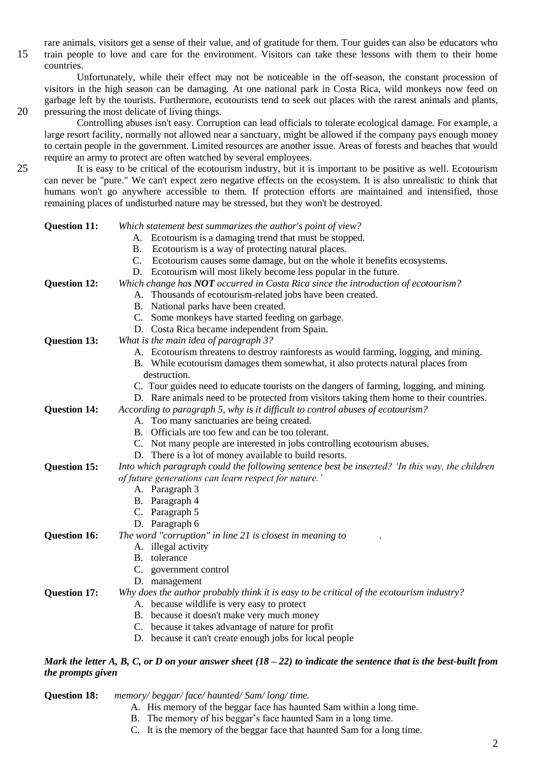rare animals, visitors get a sense of their value, and of gratitude for them. Tour guides can also be educators who 15 train people to love and care for the environment. Visitors can take these lessons with them to their home countries.

Unfortunately, while their effect may not be noticeable in the off-season, the constant procession of visitors in the high season can be damaging. At one national park in Costa Rica, wild monkeys now feed on garbage left by the tourists. Furthermore, ecotourists tend to seek out places with the rarest animals and plants, 20 pressuring the most delicate of living things.

Controlling abuses isn't easy. Corruption can lead officials to tolerate ecological damage. For example, a large resort facility, normally not allowed near a sanctuary, might be allowed if the company pays enough money to certain people in the government. Limited resources are another issue. Areas of forests and beaches that would require an army to protect are often watched by several employees.

25 It is easy to be critical of the ecotourism industry, but it is important to be positive as well. Ecotourism can never be "pure." We can't expect zero negative effects on the ecosystem. It is also unrealistic to think that humans won't go anywhere accessible to them. If protection efforts are maintained and intensified, those remaining places of undisturbed nature may be stressed, but they won't be destroyed.

| <b>Question 11:</b> | Which statement best summarizes the author's point of view?                                    |
|---------------------|------------------------------------------------------------------------------------------------|
|                     | A. Ecotourism is a damaging trend that must be stopped.                                        |
|                     | Ecotourism is a way of protecting natural places.<br>В.                                        |
|                     | Ecotourism causes some damage, but on the whole it benefits ecosystems.<br>C.                  |
|                     | D. Ecotourism will most likely become less popular in the future.                              |
| <b>Question 12:</b> | Which change has NOT occurred in Costa Rica since the introduction of ecotourism?              |
|                     | A. Thousands of ecotourism-related jobs have been created.                                     |
|                     | B. National parks have been created.                                                           |
|                     | C. Some monkeys have started feeding on garbage.                                               |
|                     | D. Costa Rica became independent from Spain.                                                   |
| <b>Question 13:</b> | What is the main idea of paragraph 3?                                                          |
|                     | A. Ecotourism threatens to destroy rainforests as would farming, logging, and mining.          |
|                     | B. While ecotourism damages them somewhat, it also protects natural places from                |
|                     | destruction.                                                                                   |
|                     | C. Tour guides need to educate tourists on the dangers of farming, logging, and mining.        |
|                     | D. Rare animals need to be protected from visitors taking them home to their countries.        |
| <b>Question 14:</b> | According to paragraph 5, why is it difficult to control abuses of ecotourism?                 |
|                     | A. Too many sanctuaries are being created.                                                     |
|                     | B. Officials are too few and can be too tolerant.                                              |
|                     | C. Not many people are interested in jobs controlling ecotourism abuses.                       |
|                     | D. There is a lot of money available to build resorts.                                         |
| <b>Question 15:</b> | Into which paragraph could the following sentence best be inserted? 'In this way, the children |
|                     | of future generations can learn respect for nature.'                                           |
|                     | A. Paragraph 3                                                                                 |
|                     | B. Paragraph 4                                                                                 |
|                     | C. Paragraph 5                                                                                 |
|                     | D. Paragraph 6                                                                                 |
| <b>Question 16:</b> | The word "corruption" in line 21 is closest in meaning to                                      |
|                     | A. illegal activity                                                                            |
|                     | B. tolerance                                                                                   |
|                     | C. government control                                                                          |
|                     | D. management                                                                                  |
| <b>Question 17:</b> | Why does the author probably think it is easy to be critical of the ecotourism industry?       |
|                     | A. because wildlife is very easy to protect                                                    |
|                     | B. because it doesn't make very much money                                                     |
|                     | C. because it takes advantage of nature for profit                                             |
|                     | D. because it can't create enough jobs for local people                                        |
|                     |                                                                                                |

#### *Mark the letter A, B, C, or D on your answer sheet (18 – 22) to indicate the sentence that is the best-built from the prompts given*

| <b>Question 18:</b> | memory/beggar/face/haunted/Sam/long/time.                            |  |
|---------------------|----------------------------------------------------------------------|--|
|                     | A. His memory of the beggar face has haunted Sam within a long time. |  |
|                     | B. The memory of his beggar's face haunted Sam in a long time.       |  |
|                     |                                                                      |  |

C. It is the memory of the beggar face that haunted Sam for a long time.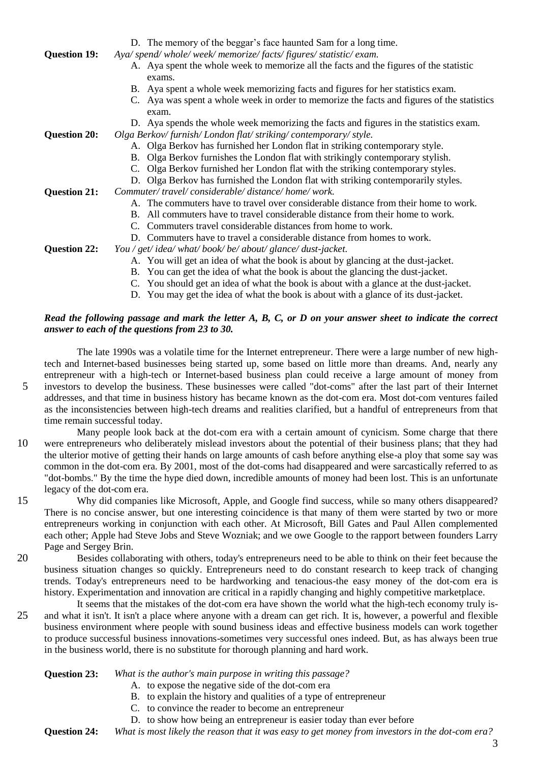| <b>Question 19:</b> | D. The memory of the beggar's face haunted Sam for a long time.<br>Aya/ spend/whole/week/memorize/facts/figures/statistic/exam. |
|---------------------|---------------------------------------------------------------------------------------------------------------------------------|
|                     | A. Aya spent the whole week to memorize all the facts and the figures of the statistic<br>exams.                                |
|                     | B. Aya spent a whole week memorizing facts and figures for her statistics exam.                                                 |
|                     | C. Aya was spent a whole week in order to memorize the facts and figures of the statistics<br>exam.                             |
|                     | D. Aya spends the whole week memorizing the facts and figures in the statistics exam.                                           |
| <b>Question 20:</b> | Olga Berkov/furnish/London flat/striking/contemporary/style.                                                                    |
|                     | A. Olga Berkov has furnished her London flat in striking contemporary style.                                                    |
|                     | B. Olga Berkov furnishes the London flat with strikingly contemporary stylish.                                                  |
|                     | C. Olga Berkov furnished her London flat with the striking contemporary styles.                                                 |
|                     | D. Olga Berkov has furnished the London flat with striking contemporarily styles.                                               |
| <b>Question 21:</b> | Commuter/travel/considerable/distance/home/work.                                                                                |
|                     | A. The commuters have to travel over considerable distance from their home to work.                                             |
|                     | B. All commuters have to travel considerable distance from their home to work.                                                  |
|                     | Commuters travel considerable distances from home to work.                                                                      |
|                     | D. Commuters have to travel a considerable distance from homes to work.                                                         |
| <b>Question 22:</b> | You / get/idea/ what/book/be/about/glance/dust-jacket.                                                                          |
|                     | A. You will get an idea of what the book is about by glancing at the dust-jacket.                                               |
|                     | B. You can get the idea of what the book is about the glancing the dust-jacket.                                                 |
|                     | C. You should get an idea of what the book is about with a glance at the dust-jacket.                                           |
|                     |                                                                                                                                 |

D. You may get the idea of what the book is about with a glance of its dust-jacket.

### *Read the following passage and mark the letter A, B, C, or D on your answer sheet to indicate the correct answer to each of the questions from 23 to 30.*

The late 1990s was a volatile time for the Internet entrepreneur. There were a large number of new hightech and Internet-based businesses being started up, some based on little more than dreams. And, nearly any entrepreneur with a high-tech or Internet-based business plan could receive a large amount of money from 5 investors to develop the business. These businesses were called "dot-coms" after the last part of their Internet addresses, and that time in business history has became known as the dot-com era. Most dot-com ventures failed as the inconsistencies between high-tech dreams and realities clarified, but a handful of entrepreneurs from that time remain successful today.

- Many people look back at the dot-com era with a certain amount of cynicism. Some charge that there 10 were entrepreneurs who deliberately mislead investors about the potential of their business plans; that they had the ulterior motive of getting their hands on large amounts of cash before anything else-a ploy that some say was common in the dot-com era. By 2001, most of the dot-coms had disappeared and were sarcastically referred to as "dot-bombs." By the time the hype died down, incredible amounts of money had been lost. This is an unfortunate legacy of the dot-com era.
- 15 Why did companies like Microsoft, Apple, and Google find success, while so many others disappeared? There is no concise answer, but one interesting coincidence is that many of them were started by two or more entrepreneurs working in conjunction with each other. At Microsoft, Bill Gates and Paul Allen complemented each other; Apple had Steve Jobs and Steve Wozniak; and we owe Google to the rapport between founders Larry Page and Sergey Brin.
- 20 Besides collaborating with others, today's entrepreneurs need to be able to think on their feet because the business situation changes so quickly. Entrepreneurs need to do constant research to keep track of changing trends. Today's entrepreneurs need to be hardworking and tenacious-the easy money of the dot-com era is history. Experimentation and innovation are critical in a rapidly changing and highly competitive marketplace.
- It seems that the mistakes of the dot-com era have shown the world what the high-tech economy truly is-25 and what it isn't. It isn't a place where anyone with a dream can get rich. It is, however, a powerful and flexible business environment where people with sound business ideas and effective business models can work together to produce successful business innovations-sometimes very successful ones indeed. But, as has always been true in the business world, there is no substitute for thorough planning and hard work.

- **Question 23:** *What is the author's main purpose in writing this passage?* 
	- A. to expose the negative side of the dot-com era
	- B. to explain the history and qualities of a type of entrepreneur
	- C. to convince the reader to become an entrepreneur
	- D. to show how being an entrepreneur is easier today than ever before

**Question 24:** *What is most likely the reason that it was easy to get money from investors in the dot-com era?* 

3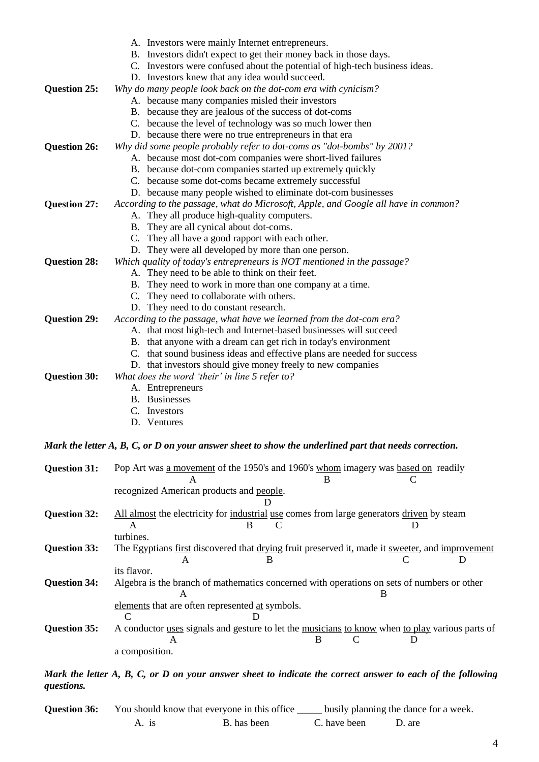| <b>Question 25:</b> | A. Investors were mainly Internet entrepreneurs.<br>B. Investors didn't expect to get their money back in those days.<br>C. Investors were confused about the potential of high-tech business ideas.<br>D. Investors knew that any idea would succeed.<br>Why do many people look back on the dot-com era with cynicism?<br>A. because many companies misled their investors<br>B. because they are jealous of the success of dot-coms<br>C. because the level of technology was so much lower then |
|---------------------|-----------------------------------------------------------------------------------------------------------------------------------------------------------------------------------------------------------------------------------------------------------------------------------------------------------------------------------------------------------------------------------------------------------------------------------------------------------------------------------------------------|
| <b>Question 26:</b> | D. because there were no true entrepreneurs in that era<br>Why did some people probably refer to dot-coms as "dot-bombs" by 2001?                                                                                                                                                                                                                                                                                                                                                                   |
|                     | A. because most dot-com companies were short-lived failures                                                                                                                                                                                                                                                                                                                                                                                                                                         |
|                     | B. because dot-com companies started up extremely quickly                                                                                                                                                                                                                                                                                                                                                                                                                                           |
|                     | C. because some dot-coms became extremely successful<br>D. because many people wished to eliminate dot-com businesses                                                                                                                                                                                                                                                                                                                                                                               |
| <b>Question 27:</b> | According to the passage, what do Microsoft, Apple, and Google all have in common?                                                                                                                                                                                                                                                                                                                                                                                                                  |
|                     | A. They all produce high-quality computers.                                                                                                                                                                                                                                                                                                                                                                                                                                                         |
|                     | B. They are all cynical about dot-coms.                                                                                                                                                                                                                                                                                                                                                                                                                                                             |
|                     | C. They all have a good rapport with each other.                                                                                                                                                                                                                                                                                                                                                                                                                                                    |
|                     | D. They were all developed by more than one person.                                                                                                                                                                                                                                                                                                                                                                                                                                                 |
| <b>Question 28:</b> | Which quality of today's entrepreneurs is NOT mentioned in the passage?<br>A. They need to be able to think on their feet.                                                                                                                                                                                                                                                                                                                                                                          |
|                     | B. They need to work in more than one company at a time.                                                                                                                                                                                                                                                                                                                                                                                                                                            |
|                     | C. They need to collaborate with others.                                                                                                                                                                                                                                                                                                                                                                                                                                                            |
|                     | D. They need to do constant research.                                                                                                                                                                                                                                                                                                                                                                                                                                                               |
| <b>Question 29:</b> | According to the passage, what have we learned from the dot-com era?                                                                                                                                                                                                                                                                                                                                                                                                                                |
|                     | A. that most high-tech and Internet-based businesses will succeed<br>B. that anyone with a dream can get rich in today's environment                                                                                                                                                                                                                                                                                                                                                                |
|                     | C. that sound business ideas and effective plans are needed for success                                                                                                                                                                                                                                                                                                                                                                                                                             |
|                     | D. that investors should give money freely to new companies                                                                                                                                                                                                                                                                                                                                                                                                                                         |
| <b>Question 30:</b> | What does the word 'their' in line 5 refer to?                                                                                                                                                                                                                                                                                                                                                                                                                                                      |
|                     | A. Entrepreneurs                                                                                                                                                                                                                                                                                                                                                                                                                                                                                    |
|                     | <b>B.</b> Businesses<br>Investors                                                                                                                                                                                                                                                                                                                                                                                                                                                                   |
|                     | D. Ventures                                                                                                                                                                                                                                                                                                                                                                                                                                                                                         |
|                     |                                                                                                                                                                                                                                                                                                                                                                                                                                                                                                     |
|                     | Mark the letter A, B, C, or D on your answer sheet to show the underlined part that needs correction.                                                                                                                                                                                                                                                                                                                                                                                               |
| <b>Question 31:</b> | Pop Art was a movement of the 1950's and 1960's whom imagery was based on readily                                                                                                                                                                                                                                                                                                                                                                                                                   |
|                     |                                                                                                                                                                                                                                                                                                                                                                                                                                                                                                     |
|                     | recognized American products and people.                                                                                                                                                                                                                                                                                                                                                                                                                                                            |
|                     |                                                                                                                                                                                                                                                                                                                                                                                                                                                                                                     |
| <b>Question 32:</b> | All almost the electricity for industrial use comes from large generators driven by steam<br>в<br>€                                                                                                                                                                                                                                                                                                                                                                                                 |
|                     | turbines.                                                                                                                                                                                                                                                                                                                                                                                                                                                                                           |
| <b>Question 33:</b> | The Egyptians first discovered that drying fruit preserved it, made it sweeter, and improvement                                                                                                                                                                                                                                                                                                                                                                                                     |
|                     | D<br>A<br>В                                                                                                                                                                                                                                                                                                                                                                                                                                                                                         |
|                     | its flavor.                                                                                                                                                                                                                                                                                                                                                                                                                                                                                         |
| <b>Question 34:</b> | Algebra is the branch of mathematics concerned with operations on sets of numbers or other<br>B<br>A                                                                                                                                                                                                                                                                                                                                                                                                |
|                     | elements that are often represented at symbols.                                                                                                                                                                                                                                                                                                                                                                                                                                                     |
|                     | C<br>Ð                                                                                                                                                                                                                                                                                                                                                                                                                                                                                              |
| <b>Question 35:</b> | A conductor uses signals and gesture to let the musicians to know when to play various parts of                                                                                                                                                                                                                                                                                                                                                                                                     |
|                     | C<br>B<br>D<br>A                                                                                                                                                                                                                                                                                                                                                                                                                                                                                    |
|                     | a composition.                                                                                                                                                                                                                                                                                                                                                                                                                                                                                      |

#### *Mark the letter A, B, C, or D on your answer sheet to indicate the correct answer to each of the following questions.*

| <b>Question 36:</b> | You should know that everyone in this office |             | busily planning the dance for a week. |        |  |
|---------------------|----------------------------------------------|-------------|---------------------------------------|--------|--|
|                     | A. is                                        | B. has been | C. have been                          | D. are |  |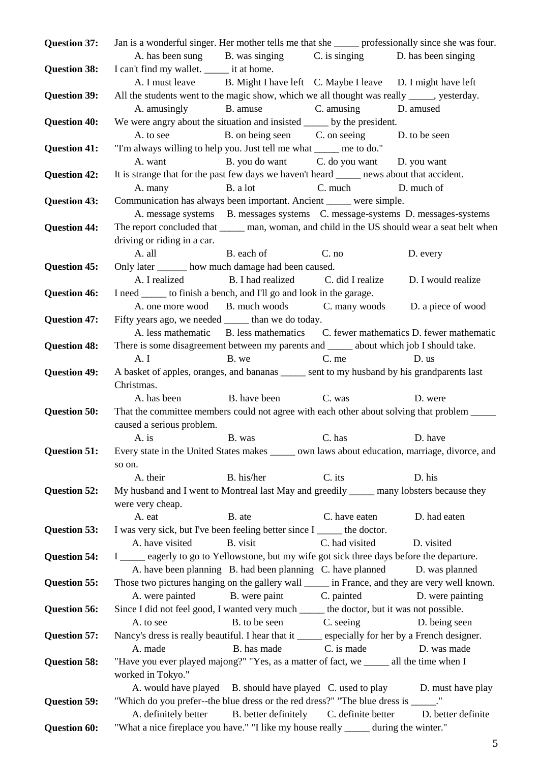| <b>Question 37:</b> | Jan is a wonderful singer. Her mother tells me that she _______ professionally since she was four.     |                                             |                |                                                                                 |
|---------------------|--------------------------------------------------------------------------------------------------------|---------------------------------------------|----------------|---------------------------------------------------------------------------------|
|                     | A. has been sung B. was singing                                                                        |                                             | C. is singing  | D. has been singing                                                             |
| <b>Question 38:</b> | I can't find my wallet. _______ it at home.                                                            |                                             |                |                                                                                 |
|                     | A. I must leave B. Might I have left C. Maybe I leave D. I might have left                             |                                             |                |                                                                                 |
| <b>Question 39:</b> | All the students went to the magic show, which we all thought was really _____, yesterday.             |                                             |                |                                                                                 |
|                     | A. amusingly                                                                                           | B. amuse                                    | C. amusing     | D. amused                                                                       |
| <b>Question 40:</b> | We were angry about the situation and insisted ______ by the president.                                |                                             |                |                                                                                 |
|                     | A. to see                                                                                              | B. on being seen C. on seeing D. to be seen |                |                                                                                 |
| <b>Question 41:</b> | "I'm always willing to help you. Just tell me what ______ me to do."<br>A. want                        |                                             |                |                                                                                 |
|                     | It is strange that for the past few days we haven't heard ______ news about that accident.             | B. you do want C. do you want D. you want   |                |                                                                                 |
| <b>Question 42:</b> | A. many                                                                                                | B. a lot                                    | C. much        | D. much of                                                                      |
| <b>Question 43:</b> | Communication has always been important. Ancient _____ were simple.                                    |                                             |                |                                                                                 |
|                     |                                                                                                        |                                             |                | A. message systems B. messages systems C. message-systems D. messages-systems   |
| <b>Question 44:</b> | The report concluded that ______ man, woman, and child in the US should wear a seat belt when          |                                             |                |                                                                                 |
|                     | driving or riding in a car.                                                                            |                                             |                |                                                                                 |
|                     | A. all                                                                                                 | B. each of                                  | C. no          | D. every                                                                        |
| <b>Question 45:</b> | Only later _______ how much damage had been caused.                                                    |                                             |                |                                                                                 |
|                     | A. I realized                                                                                          | B. I had realized C. did I realize          |                | D. I would realize                                                              |
| <b>Question 46:</b> | I need _______ to finish a bench, and I'll go and look in the garage.                                  |                                             |                |                                                                                 |
|                     |                                                                                                        |                                             |                | A. one more wood B. much woods C. many woods D. a piece of wood                 |
| <b>Question 47:</b> | Fifty years ago, we needed ______ than we do today.                                                    |                                             |                |                                                                                 |
|                     |                                                                                                        |                                             |                | A. less mathematic B. less mathematics C. fewer mathematics D. fewer mathematic |
| <b>Question 48:</b> | There is some disagreement between my parents and ______ about which job I should take.                |                                             |                |                                                                                 |
|                     | A. I                                                                                                   | B. we                                       | C. me          | D. us                                                                           |
| <b>Question 49:</b> | A basket of apples, oranges, and bananas _____ sent to my husband by his grandparents last             |                                             |                |                                                                                 |
|                     | Christmas.                                                                                             |                                             |                |                                                                                 |
|                     | A. has been                                                                                            | B. have been C. was                         |                | D. were                                                                         |
| <b>Question 50:</b> | That the committee members could not agree with each other about solving that problem _____            |                                             |                |                                                                                 |
|                     | caused a serious problem.<br>A. is                                                                     | B. was                                      | C. has         | D. have                                                                         |
| <b>Question 51:</b> | Every state in the United States makes _______ own laws about education, marriage, divorce, and        |                                             |                |                                                                                 |
|                     | so on.                                                                                                 |                                             |                |                                                                                 |
|                     | A. their                                                                                               | B. his/her                                  | C. its         | D. his                                                                          |
| <b>Question 52:</b> | My husband and I went to Montreal last May and greedily _____ many lobsters because they               |                                             |                |                                                                                 |
|                     | were very cheap.                                                                                       |                                             |                |                                                                                 |
|                     | A. eat                                                                                                 | B. ate                                      | C. have eaten  | D. had eaten                                                                    |
| <b>Question 53:</b> | I was very sick, but I've been feeling better since I ______ the doctor.                               |                                             |                |                                                                                 |
|                     | A. have visited                                                                                        | B. visit                                    | C. had visited | D. visited                                                                      |
| <b>Question 54:</b> | I ____ eagerly to go to Yellowstone, but my wife got sick three days before the departure.             |                                             |                |                                                                                 |
|                     | A. have been planning B. had been planning C. have planned                                             |                                             |                | D. was planned                                                                  |
| <b>Question 55:</b> | Those two pictures hanging on the gallery wall ______ in France, and they are very well known.         |                                             |                |                                                                                 |
|                     | A. were painted                                                                                        | B. were paint                               | C. painted     | D. were painting                                                                |
| <b>Question 56:</b> | Since I did not feel good, I wanted very much ______ the doctor, but it was not possible.<br>A. to see | B. to be seen C. seeing                     |                | D. being seen                                                                   |
| <b>Question 57:</b> | Nancy's dress is really beautiful. I hear that it _____ especially for her by a French designer.       |                                             |                |                                                                                 |
|                     | A. made                                                                                                | B. has made                                 | C. is made     | D. was made                                                                     |
| <b>Question 58:</b> | "Have you ever played majong?" "Yes, as a matter of fact, we _____ all the time when I                 |                                             |                |                                                                                 |
|                     | worked in Tokyo."                                                                                      |                                             |                |                                                                                 |
|                     |                                                                                                        |                                             |                | A. would have played B. should have played C. used to play D. must have play    |
| <b>Question 59:</b> | "Which do you prefer--the blue dress or the red dress?" "The blue dress is _____."                     |                                             |                |                                                                                 |
|                     | A. definitely better                                                                                   | B. better definitely C. definite better     |                | D. better definite                                                              |
| <b>Question 60:</b> | "What a nice fireplace you have." "I like my house really ______ during the winter."                   |                                             |                |                                                                                 |
|                     |                                                                                                        |                                             |                | 5.                                                                              |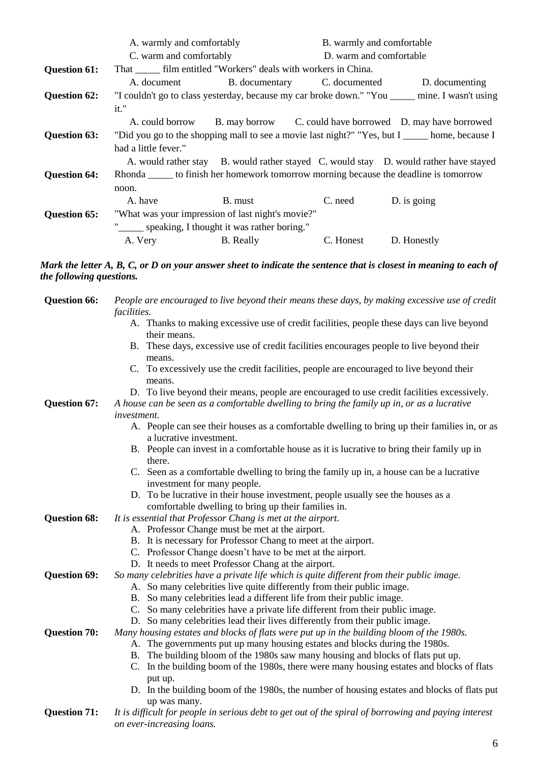|                     | A. warmly and comfortably                                         |                              | B. warmly and comfortable |                                                                                                |
|---------------------|-------------------------------------------------------------------|------------------------------|---------------------------|------------------------------------------------------------------------------------------------|
|                     | C. warm and comfortably                                           |                              | D. warm and comfortable   |                                                                                                |
| <b>Question 61:</b> | That _______ film entitled "Workers" deals with workers in China. |                              |                           |                                                                                                |
|                     | A. document                                                       | B. documentary C. documented |                           | D. documenting                                                                                 |
| <b>Question 62:</b> |                                                                   |                              |                           | "I couldn't go to class yesterday, because my car broke down." "You _____ mine. I wasn't using |
|                     | it."                                                              |                              |                           |                                                                                                |
|                     |                                                                   |                              |                           | A. could borrow B. may borrow C. could have borrowed D. may have borrowed                      |
| <b>Question 63:</b> |                                                                   |                              |                           | "Did you go to the shopping mall to see a movie last night?" "Yes, but I home, because I       |
|                     | had a little fever."                                              |                              |                           |                                                                                                |
|                     |                                                                   |                              |                           | A. would rather stay B. would rather stayed C. would stay D. would rather have stayed          |
| <b>Question 64:</b> |                                                                   |                              |                           | Rhonda ______ to finish her homework tomorrow morning because the deadline is tomorrow         |
|                     | noon.                                                             |                              |                           |                                                                                                |
|                     | A. have                                                           | B. must                      | C. need                   | D. is going                                                                                    |
| <b>Question 65:</b> | "What was your impression of last night's movie?"                 |                              |                           |                                                                                                |
|                     | " speaking, I thought it was rather boring."                      |                              |                           |                                                                                                |
|                     | A. Very                                                           | <b>B.</b> Really             | C. Honest                 | D. Honestly                                                                                    |

# *Mark the letter A, B, C, or D on your answer sheet to indicate the sentence that is closest in meaning to each of the following questions.*

| <b>Question 66:</b> | People are encouraged to live beyond their means these days, by making excessive use of credit<br><i>facilities.</i>                                          |  |  |
|---------------------|---------------------------------------------------------------------------------------------------------------------------------------------------------------|--|--|
|                     | A. Thanks to making excessive use of credit facilities, people these days can live beyond                                                                     |  |  |
|                     | their means.                                                                                                                                                  |  |  |
|                     | B. These days, excessive use of credit facilities encourages people to live beyond their                                                                      |  |  |
|                     | means.                                                                                                                                                        |  |  |
|                     | C. To excessively use the credit facilities, people are encouraged to live beyond their<br>means.                                                             |  |  |
|                     | D. To live beyond their means, people are encouraged to use credit facilities excessively.                                                                    |  |  |
| <b>Question 67:</b> | A house can be seen as a comfortable dwelling to bring the family up in, or as a lucrative                                                                    |  |  |
|                     | investment.                                                                                                                                                   |  |  |
|                     | A. People can see their houses as a comfortable dwelling to bring up their families in, or as<br>a lucrative investment.                                      |  |  |
|                     | B. People can invest in a comfortable house as it is lucrative to bring their family up in                                                                    |  |  |
|                     | there.                                                                                                                                                        |  |  |
|                     | C. Seen as a comfortable dwelling to bring the family up in, a house can be a lucrative                                                                       |  |  |
|                     | investment for many people.                                                                                                                                   |  |  |
|                     | D. To be lucrative in their house investment, people usually see the houses as a                                                                              |  |  |
|                     | comfortable dwelling to bring up their families in.                                                                                                           |  |  |
| <b>Question 68:</b> | It is essential that Professor Chang is met at the airport.                                                                                                   |  |  |
|                     | A. Professor Change must be met at the airport.                                                                                                               |  |  |
|                     | B. It is necessary for Professor Chang to meet at the airport.                                                                                                |  |  |
|                     | C. Professor Change doesn't have to be met at the airport.                                                                                                    |  |  |
|                     | D. It needs to meet Professor Chang at the airport.                                                                                                           |  |  |
| <b>Question 69:</b> | So many celebrities have a private life which is quite different from their public image.                                                                     |  |  |
|                     | A. So many celebrities live quite differently from their public image.                                                                                        |  |  |
|                     | B. So many celebrities lead a different life from their public image.                                                                                         |  |  |
|                     | C. So many celebrities have a private life different from their public image.<br>D. So many celebrities lead their lives differently from their public image. |  |  |
| <b>Question 70:</b> | Many housing estates and blocks of flats were put up in the building bloom of the 1980s.                                                                      |  |  |
|                     | A. The governments put up many housing estates and blocks during the 1980s.                                                                                   |  |  |
|                     | B. The building bloom of the 1980s saw many housing and blocks of flats put up.                                                                               |  |  |
|                     | C. In the building boom of the 1980s, there were many housing estates and blocks of flats                                                                     |  |  |
|                     | put up.                                                                                                                                                       |  |  |
|                     | D. In the building boom of the 1980s, the number of housing estates and blocks of flats put                                                                   |  |  |
|                     | up was many.                                                                                                                                                  |  |  |
| <b>Question 71:</b> | It is difficult for people in serious debt to get out of the spiral of borrowing and paying interest                                                          |  |  |
|                     | on ever-increasing loans.                                                                                                                                     |  |  |